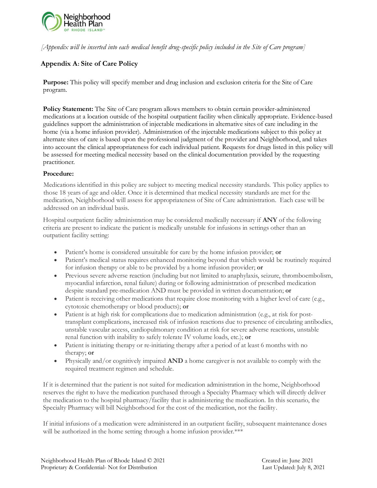

*[Appendix will be inserted into each medical benefit drug-specific policy included in the Site of Care program]*

## **Appendix A: Site of Care Policy**

**Purpose:** This policy will specify member and drug inclusion and exclusion criteria for the Site of Care program.

**Policy Statement:** The Site of Care program allows members to obtain certain provider-administered medications at a location outside of the hospital outpatient facility when clinically appropriate. Evidence-based guidelines support the administration of injectable medications in alternative sites of care including in the home (via a home infusion provider). Administration of the injectable medications subject to this policy at alternate sites of care is based upon the professional judgment of the provider and Neighborhood, and takes into account the clinical appropriateness for each individual patient. Requests for drugs listed in this policy will be assessed for meeting medical necessity based on the clinical documentation provided by the requesting practitioner.

## **Procedure:**

Medications identified in this policy are subject to meeting medical necessity standards. This policy applies to those 18 years of age and older. Once it is determined that medical necessity standards are met for the medication, Neighborhood will assess for appropriateness of Site of Care administration. Each case will be addressed on an individual basis.

Hospital outpatient facility administration may be considered medically necessary if **ANY** of the following criteria are present to indicate the patient is medically unstable for infusions in settings other than an outpatient facility setting:

- Patient's home is considered unsuitable for care by the home infusion provider; **or**
- Patient's medical status requires enhanced monitoring beyond that which would be routinely required for infusion therapy or able to be provided by a home infusion provider; **or**
- Previous severe adverse reaction (including but not limited to anaphylaxis, seizure, thromboembolism, myocardial infarction, renal failure) during or following administration of prescribed medication despite standard pre-medication AND must be provided in written documentation; **or**
- Patient is receiving other medications that require close monitoring with a higher level of care (e.g., cytotoxic chemotherapy or blood products); **or**
- Patient is at high risk for complications due to medication administration (e.g., at risk for posttransplant complications, increased risk of infusion reactions due to presence of circulating antibodies, unstable vascular access, cardiopulmonary condition at risk for severe adverse reactions, unstable renal function with inability to safely tolerate IV volume loads, etc.); **or**
- Patient is initiating therapy or re-initiating therapy after a period of at least 6 months with no therapy; **or**
- Physically and/or cognitively impaired **AND** a home caregiver is not available to comply with the required treatment regimen and schedule.

If it is determined that the patient is not suited for medication administration in the home, Neighborhood reserves the right to have the medication purchased through a Specialty Pharmacy which will directly deliver the medication to the hospital pharmacy/facility that is administering the medication. In this scenario, the Specialty Pharmacy will bill Neighborhood for the cost of the medication, not the facility.

If initial infusions of a medication were administered in an outpatient facility, subsequent maintenance doses will be authorized in the home setting through a home infusion provider.\*\*\*